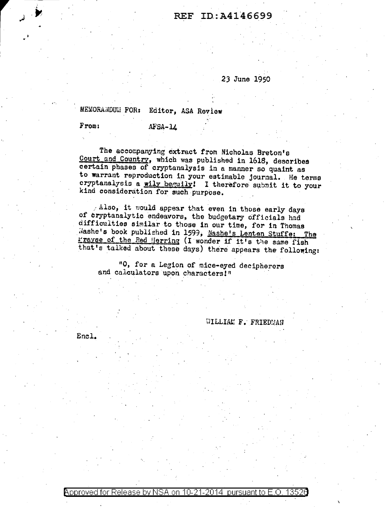## REF ID:A4146699

## 23 June 1950

MEMORANDUM FOR: Editor, ASA Review

**From:** 

 $AFSA-11$ 

The accompanying extract from Nicholas Breton's Court and Country, which was published in 1618, describes certain phases of cryptanalysis in a manner so quaint as to warrant reproduction in your estimable journal. He terms cryptanalysis a wily beguily! I therefore submit it to your kind consideration for such purpose.

 $\angle$  Also, it would appear that even in those early days of cryptanalytic endeavors, the budgetary officials had difficulties similar to those in our time, for in Thomas Mashe's book published in 1599, Nashe's Lenten Stuffe: The Frayse of the Red Herring (I wonder if it's the same fish that's talked about these days) there appears the following:

"O, for a Legion of mice-eyed decipherers and calculators upon characters!"

WILLIAM F. FRIEDMAN

Encl.

Approved for Release by NSA on 10-21-2014 pursuant to E.O. 13526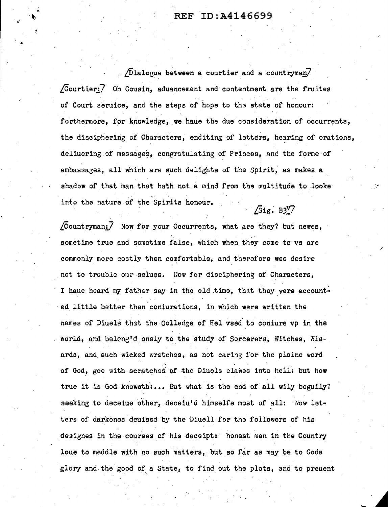## REF ID:A4146699

.<br>م.<br>م.

•

 $\sqrt{D}$ ialogue between a courtier and a countryman $\sqrt{D}$  $\sqrt{C}$ ourtier: $\overline{7}$  Oh Cousin, aduancement and contentment are the fruites of Court seruice, and the steps of hope to the state of honour: forthermore, for knowledge, we haue the due consideration of occurrents, .. the disciphering of Characters, enditing of letters, hearing of orations, deliuering of messages, congratulating of Princes, and the forme of ambassages, all which are such delights of the Spirit, as makes a shadow of that man that hath not a mind from the multitude to looke into the nature of the Spirits honour.  $\sqrt{5}$ ig. B3 $\sqrt{7}$ 

/

 $\sqrt{C}$ ountryman: $\vec{Z}$  Now for your Occurrents, what are they? but newes, sometime true and sometime false, which when they come to vs are commonly more costly then comfortable, and therefore wee desire not to trouble our selues. Now for disciphering of Characters, I haue heard my father say in the old time, that they were accounted little better then coniurations, in which were written the names of Diuels that the Colledge of Hel vsed to coniure vp in the world, and belcng'd onely to the study of Sorcerers, Witches, Wisards, and. such wicked wretches, as not caring for the plaine word of God, goe with scratches of the Diuqls clawes into hell: but how true it is God knoweth:... But what is the end of all wily beguily? seeking to deceiue other, deceiu'd himselfe most of all: Now letters of darkenes deuised by the Diuell for the followers of his designes in the courses of his deceipt: honest men in the Country loue to meddle with no such matters, but so far as may be to Gods glory and the good of a State, to find out the plots, and to preuent